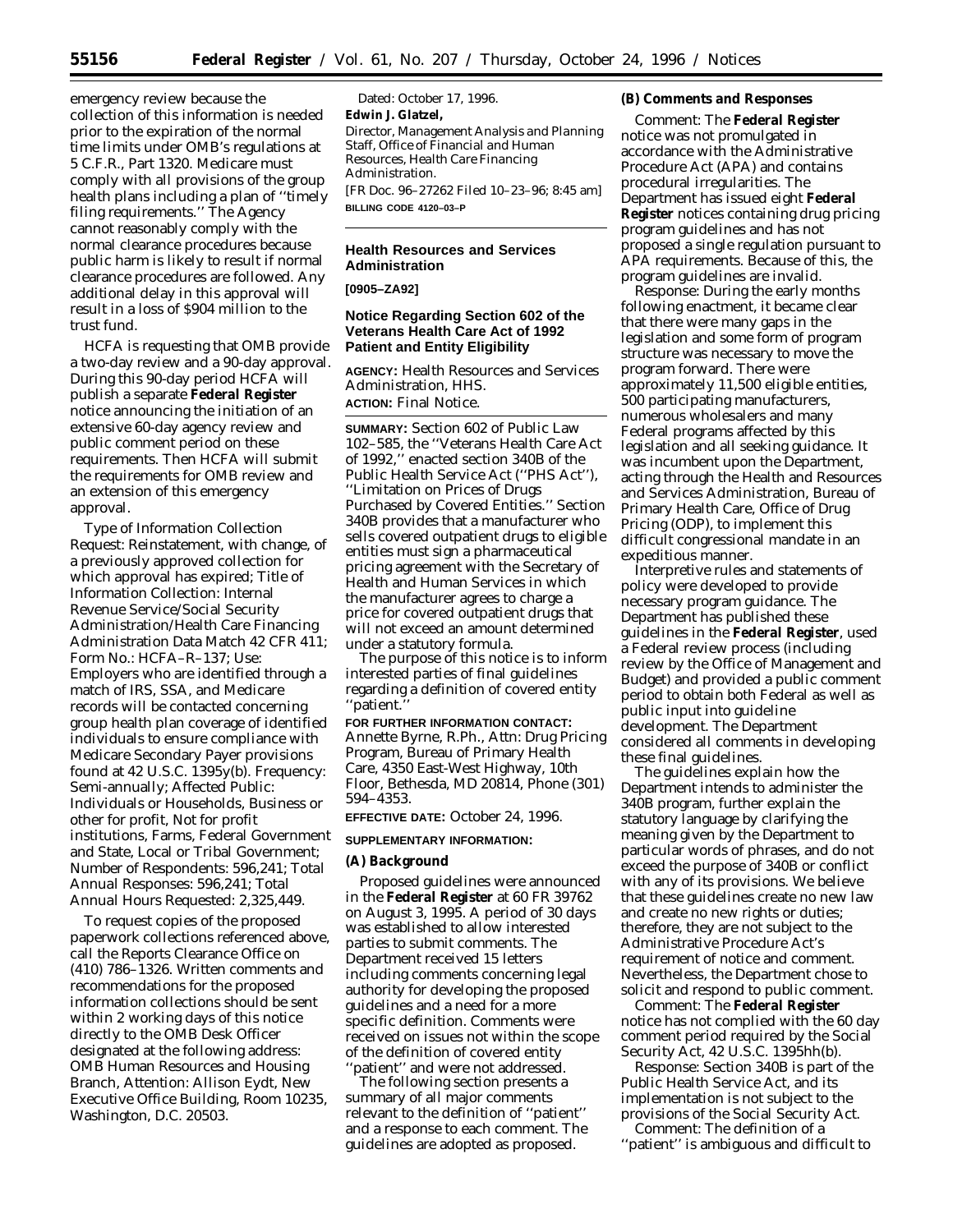emergency review because the collection of this information is needed prior to the expiration of the normal time limits under OMB's regulations at 5 C.F.R., Part 1320. Medicare must comply with all provisions of the group health plans including a plan of ''timely filing requirements.'' The Agency cannot reasonably comply with the normal clearance procedures because public harm is likely to result if normal clearance procedures are followed. Any additional delay in this approval will result in a loss of \$904 million to the trust fund.

HCFA is requesting that OMB provide a two-day review and a 90-day approval. During this 90-day period HCFA will publish a separate **Federal Register** notice announcing the initiation of an extensive 60-day agency review and public comment period on these requirements. Then HCFA will submit the requirements for OMB review and an extension of this emergency approval.

*Type of Information Collection Request:* Reinstatement, with change, of a previously approved collection for which approval has expired; *Title of Information Collection:* Internal Revenue Service/Social Security Administration/Health Care Financing Administration Data Match 42 CFR 411; *Form No.:* HCFA–R–137; *Use:* Employers who are identified through a match of IRS, SSA, and Medicare records will be contacted concerning group health plan coverage of identified individuals to ensure compliance with Medicare Secondary Payer provisions found at 42 U.S.C. 1395y(b). *Frequency:* Semi-annually; *Affected Public:* Individuals or Households, Business or other for profit, Not for profit institutions, Farms, Federal Government and State, Local or Tribal Government; *Number of Respondents:* 596,241; *Total Annual Responses:* 596,241; *Total Annual Hours Requested:* 2,325,449.

To request copies of the proposed paperwork collections referenced above, call the Reports Clearance Office on (410) 786–1326. Written comments and recommendations for the proposed information collections should be sent within 2 working days of this notice directly to the OMB Desk Officer designated at the following address: OMB Human Resources and Housing Branch, Attention: Allison Eydt, New Executive Office Building, Room 10235, Washington, D.C. 20503.

Dated: October 17, 1996. **Edwin J. Glatzel,** *Director, Management Analysis and Planning Staff, Office of Financial and Human Resources, Health Care Financing Administration.* [FR Doc. 96–27262 Filed 10–23–96; 8:45 am] **BILLING CODE 4120–03–P**

## **Health Resources and Services Administration**

**[0905–ZA92]**

# **Notice Regarding Section 602 of the Veterans Health Care Act of 1992 Patient and Entity Eligibility**

**AGENCY:** Health Resources and Services Administration, HHS. **ACTION:** Final Notice.

**SUMMARY:** Section 602 of Public Law 102–585, the ''Veterans Health Care Act of 1992,'' enacted section 340B of the Public Health Service Act (''PHS Act''), ''Limitation on Prices of Drugs Purchased by Covered Entities.'' Section 340B provides that a manufacturer who sells covered outpatient drugs to eligible entities must sign a pharmaceutical pricing agreement with the Secretary of Health and Human Services in which the manufacturer agrees to charge a price for covered outpatient drugs that will not exceed an amount determined under a statutory formula.

The purpose of this notice is to inform interested parties of final guidelines regarding a definition of covered entity ''patient.''

**FOR FURTHER INFORMATION CONTACT:** Annette Byrne, R.Ph., Attn: Drug Pricing Program, Bureau of Primary Health Care, 4350 East-West Highway, 10th Floor, Bethesda, MD 20814, Phone (301) 594–4353.

### **EFFECTIVE DATE:** October 24, 1996.

### **SUPPLEMENTARY INFORMATION:**

### **(A) Background**

Proposed guidelines were announced in the **Federal Register** at 60 FR 39762 on August 3, 1995. A period of 30 days was established to allow interested parties to submit comments. The Department received 15 letters including comments concerning legal authority for developing the proposed guidelines and a need for a more specific definition. Comments were received on issues not within the scope of the definition of covered entity 'patient'' and were not addressed.

The following section presents a summary of all major comments relevant to the definition of ''patient'' and a response to each comment. The guidelines are adopted as proposed.

### **(B) Comments and Responses**

*Comment:* The **Federal Register** notice was not promulgated in accordance with the Administrative Procedure Act (APA) and contains procedural irregularities. The Department has issued eight **Federal Register** notices containing drug pricing program guidelines and has not proposed a single regulation pursuant to APA requirements. Because of this, the program guidelines are invalid.

*Response:* During the early months following enactment, it became clear that there were many gaps in the legislation and some form of program structure was necessary to move the program forward. There were approximately 11,500 eligible entities, 500 participating manufacturers, numerous wholesalers and many Federal programs affected by this legislation and all seeking guidance. It was incumbent upon the Department, acting through the Health and Resources and Services Administration, Bureau of Primary Health Care, Office of Drug Pricing (ODP), to implement this difficult congressional mandate in an expeditious manner.

Interpretive rules and statements of policy were developed to provide necessary program guidance. The Department has published these guidelines in the **Federal Register**, used a Federal review process (including review by the Office of Management and Budget) and provided a public comment period to obtain both Federal as well as public input into guideline development. The Department considered all comments in developing these final guidelines.

The guidelines explain how the Department intends to administer the 340B program, further explain the statutory language by clarifying the meaning given by the Department to particular words of phrases, and do not exceed the purpose of 340B or conflict with any of its provisions. We believe that these guidelines create no new law and create no new rights or duties; therefore, they are not subject to the Administrative Procedure Act's requirement of notice and comment. Nevertheless, the Department chose to solicit and respond to public comment.

*Comment:* The **Federal Register** notice has not complied with the 60 day comment period required by the Social Security Act, 42 U.S.C. 1395hh(b).

*Response:* Section 340B is part of the Public Health Service Act, and its implementation is not subject to the provisions of the Social Security Act.

*Comment:* The definition of a ''patient'' is ambiguous and difficult to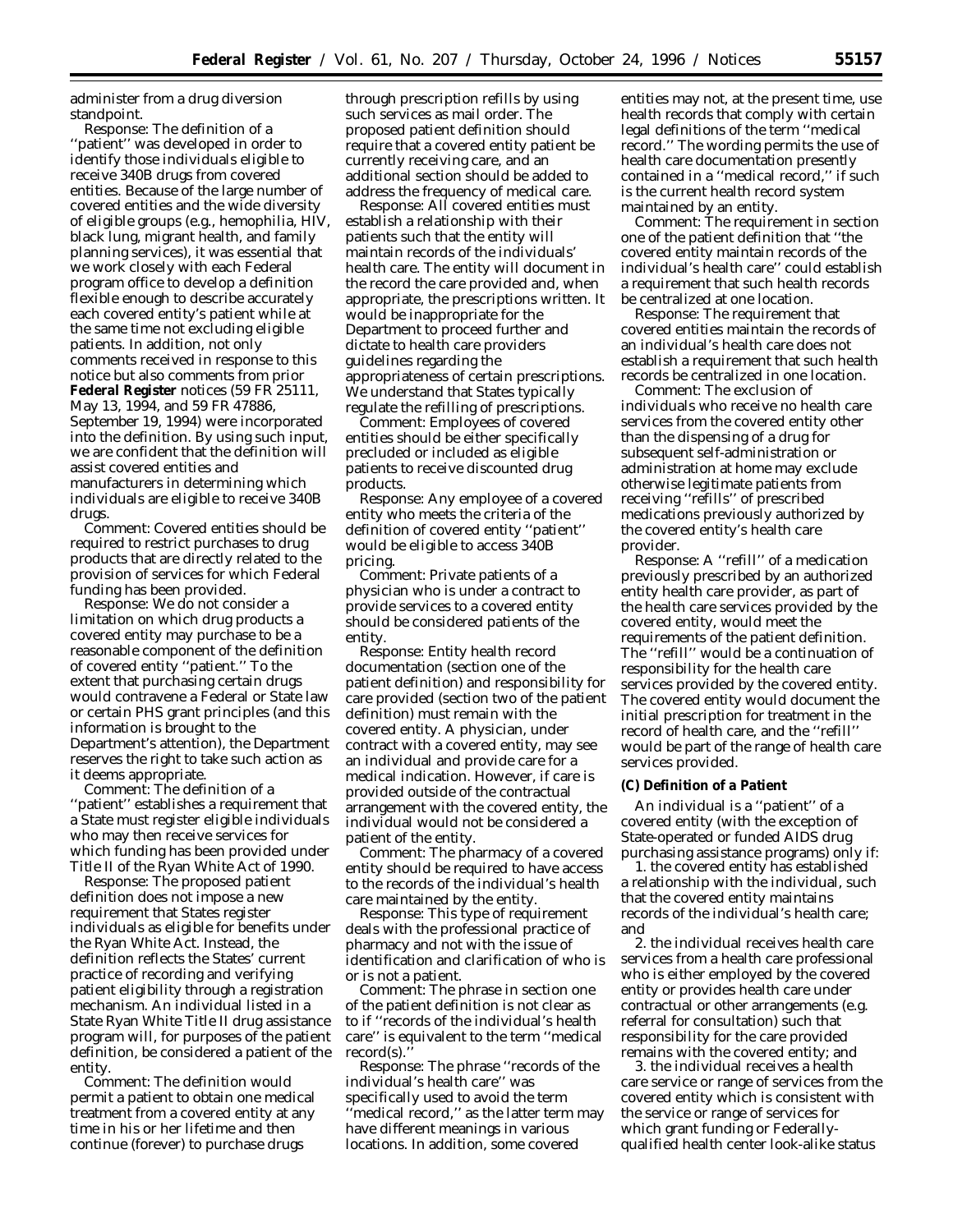administer from a drug diversion standpoint.

*Response:* The definition of a ''patient'' was developed in order to identify those individuals eligible to receive 340B drugs from covered entities. Because of the large number of covered entities and the wide diversity of eligible groups (e.g., hemophilia, HIV, black lung, migrant health, and family planning services), it was essential that we work closely with each Federal program office to develop a definition flexible enough to describe accurately each covered entity's patient while at the same time not excluding eligible patients. In addition, not only comments received in response to this notice but also comments from prior **Federal Register** notices (59 FR 25111, May 13, 1994, and 59 FR 47886, September 19, 1994) were incorporated into the definition. By using such input, we are confident that the definition will assist covered entities and manufacturers in determining which individuals are eligible to receive 340B drugs.

*Comment:* Covered entities should be required to restrict purchases to drug products that are directly related to the provision of services for which Federal funding has been provided.

*Response:* We do not consider a limitation on which drug products a covered entity may purchase to be a reasonable component of the definition of covered entity ''patient.'' To the extent that purchasing certain drugs would contravene a Federal or State law or certain PHS grant principles (and this information is brought to the Department's attention), the Department reserves the right to take such action as it deems appropriate.

*Comment:* The definition of a 'patient'' establishes a requirement that a State must register eligible individuals who may then receive services for which funding has been provided under Title II of the Ryan White Act of 1990.

*Response:* The proposed patient definition does not impose a new requirement that States register individuals as eligible for benefits under the Ryan White Act. Instead, the definition reflects the States' current practice of recording and verifying patient eligibility through a registration mechanism. An individual listed in a State Ryan White Title II drug assistance program will, for purposes of the patient definition, be considered a patient of the entity.

*Comment:* The definition would permit a patient to obtain one medical treatment from a covered entity at any time in his or her lifetime and then continue (forever) to purchase drugs

through prescription refills by using such services as mail order. The proposed patient definition should require that a covered entity patient be currently receiving care, and an additional section should be added to address the frequency of medical care.

*Response:* All covered entities must establish a relationship with their patients such that the entity will maintain records of the individuals' health care. The entity will document in the record the care provided and, when appropriate, the prescriptions written. It would be inappropriate for the Department to proceed further and dictate to health care providers guidelines regarding the appropriateness of certain prescriptions. We understand that States typically regulate the refilling of prescriptions.

*Comment:* Employees of covered entities should be either specifically precluded or included as eligible patients to receive discounted drug products.

*Response:* Any employee of a covered entity who meets the criteria of the definition of covered entity ''patient'' would be eligible to access 340B pricing.

*Comment:* Private patients of a physician who is under a contract to provide services to a covered entity should be considered patients of the entity.

*Response:* Entity health record documentation (section one of the patient definition) and responsibility for care provided (section two of the patient definition) must remain with the covered entity. A physician, under contract with a covered entity, may see an individual and provide care for a medical indication. However, if care is provided outside of the contractual arrangement with the covered entity, the individual would not be considered a patient of the entity.

*Comment:* The pharmacy of a covered entity should be required to have access to the records of the individual's health care maintained by the entity.

*Response:* This type of requirement deals with the professional practice of pharmacy and not with the issue of identification and clarification of who is or is not a patient.

*Comment:* The phrase in section one of the patient definition is not clear as to if ''records of the individual's health care'' is equivalent to the term ''medical record(s).

*Response:* The phrase ''records of the individual's health care'' was specifically used to avoid the term ''medical record,'' as the latter term may have different meanings in various locations. In addition, some covered

entities may not, at the present time, use health records that comply with certain legal definitions of the term ''medical record.'' The wording permits the use of health care documentation presently contained in a ''medical record,'' if such is the current health record system maintained by an entity.

*Comment:* The requirement in section one of the patient definition that ''the covered entity maintain records of the individual's health care'' could establish a requirement that such health records be centralized at one location.

*Response:* The requirement that covered entities maintain the records of an individual's health care does not establish a requirement that such health records be centralized in one location.

*Comment:* The exclusion of individuals who receive no health care services from the covered entity other than the dispensing of a drug for subsequent self-administration or administration at home may exclude otherwise legitimate patients from receiving ''refills'' of prescribed medications previously authorized by the covered entity's health care provider.

*Response:* A ''refill'' of a medication previously prescribed by an authorized entity health care provider, as part of the health care services provided by the covered entity, would meet the requirements of the patient definition. The ''refill'' would be a continuation of responsibility for the health care services provided by the covered entity. The covered entity would document the initial prescription for treatment in the record of health care, and the ''refill'' would be part of the range of health care services provided.

### **(C) Definition of a Patient**

An individual is a ''patient'' of a covered entity (with the exception of State-operated or funded AIDS drug purchasing assistance programs) only if:

1. the covered entity has established a relationship with the individual, such that the covered entity maintains records of the individual's health care; and

2. the individual receives health care services from a health care professional who is either employed by the covered entity or provides health care under contractual or other arrangements (e.g. referral for consultation) such that responsibility for the care provided remains with the covered entity; and

3. the individual receives a health care service or range of services from the covered entity which is consistent with the service or range of services for which grant funding or Federallyqualified health center look-alike status